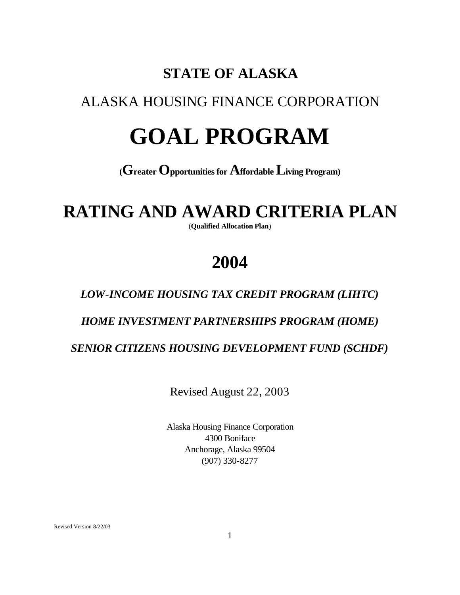# **STATE OF ALASKA**

# ALASKA HOUSING FINANCE CORPORATION

# **GOAL PROGRAM**

## **(Greater Opportunities for Affordable Living Program)**

# **RATING AND AWARD CRITERIA PLAN**

(**Qualified Allocation Plan**)

# **2004**

### *LOW-INCOME HOUSING TAX CREDIT PROGRAM (LIHTC)*

*HOME INVESTMENT PARTNERSHIPS PROGRAM (HOME)*

### *SENIOR CITIZENS HOUSING DEVELOPMENT FUND (SCHDF)*

Revised August 22, 2003

Alaska Housing Finance Corporation 4300 Boniface Anchorage, Alaska 99504 (907) 330-8277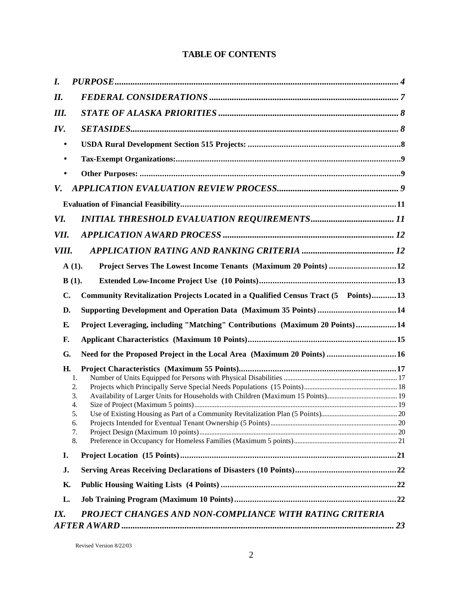#### **TABLE OF CONTENTS**

| I.        |                                                                                    |  |
|-----------|------------------------------------------------------------------------------------|--|
| II.       |                                                                                    |  |
| Ш.        |                                                                                    |  |
| IV.       |                                                                                    |  |
| $\bullet$ |                                                                                    |  |
| $\bullet$ |                                                                                    |  |
|           |                                                                                    |  |
| V.        |                                                                                    |  |
|           |                                                                                    |  |
| VI.       |                                                                                    |  |
| VII.      |                                                                                    |  |
| VIII.     |                                                                                    |  |
|           | Project Serves The Lowest Income Tenants (Maximum 20 Points)  12<br>$A(1)$ .       |  |
|           | $B(1)$ .                                                                           |  |
| C.        | Community Revitalization Projects Located in a Qualified Census Tract (5 Points)13 |  |
| D.        | Supporting Development and Operation Data (Maximum 35 Points) 14                   |  |
| E.        | Project Leveraging, including "Matching" Contributions (Maximum 20 Points) 14      |  |
| F.        |                                                                                    |  |
| G.        | Need for the Proposed Project in the Local Area (Maximum 20 Points) 16             |  |
| Н.        |                                                                                    |  |
|           | 1.                                                                                 |  |
|           | 2.                                                                                 |  |
|           | 3.<br>4.                                                                           |  |
|           | 5.                                                                                 |  |
|           | 6.                                                                                 |  |
|           | 7.                                                                                 |  |
|           | 8.                                                                                 |  |
| I.        |                                                                                    |  |
| J.        |                                                                                    |  |
| К.        |                                                                                    |  |
| L.        |                                                                                    |  |
| IX.       | PROJECT CHANGES AND NON-COMPLIANCE WITH RATING CRITERIA                            |  |
|           |                                                                                    |  |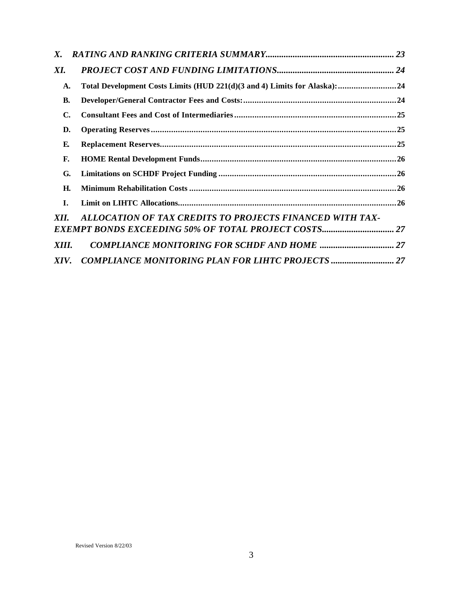| X.           |                                                                           |  |
|--------------|---------------------------------------------------------------------------|--|
| XI.          |                                                                           |  |
| A.           | Total Development Costs Limits (HUD 221(d)(3 and 4) Limits for Alaska):24 |  |
| В.           |                                                                           |  |
| $\mathbf{C}$ |                                                                           |  |
| D.           |                                                                           |  |
| E.           |                                                                           |  |
| F.           |                                                                           |  |
| G.           |                                                                           |  |
| Н.           |                                                                           |  |
| I.           |                                                                           |  |
| XII.         | ALLOCATION OF TAX CREDITS TO PROJECTS FINANCED WITH TAX-                  |  |
| XIII.        |                                                                           |  |
| XIV.         | <b>COMPLIANCE MONITORING PLAN FOR LIHTC PROJECTS </b> 27                  |  |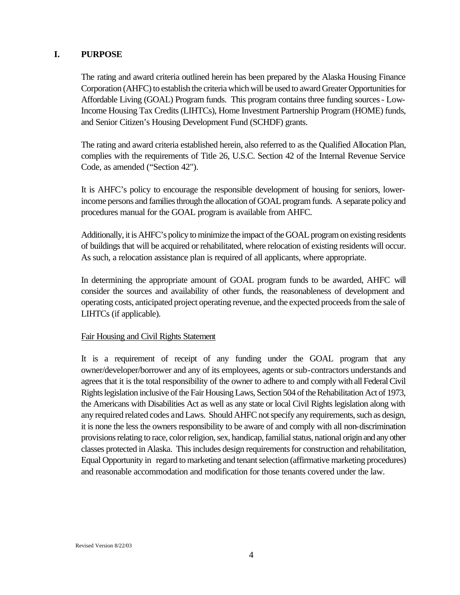#### **I. PURPOSE**

The rating and award criteria outlined herein has been prepared by the Alaska Housing Finance Corporation (AHFC) to establish the criteria which will be used to award Greater Opportunities for Affordable Living (GOAL) Program funds. This program contains three funding sources - Low-Income Housing Tax Credits (LIHTCs), Home Investment Partnership Program (HOME) funds, and Senior Citizen's Housing Development Fund (SCHDF) grants.

The rating and award criteria established herein, also referred to as the Qualified Allocation Plan, complies with the requirements of Title 26, U.S.C. Section 42 of the Internal Revenue Service Code, as amended ("Section 42").

It is AHFC's policy to encourage the responsible development of housing for seniors, lowerincome persons and families through the allocation of GOAL program funds. A separate policy and procedures manual for the GOAL program is available from AHFC.

Additionally, it is AHFC's policy to minimize the impact of the GOAL program on existing residents of buildings that will be acquired or rehabilitated, where relocation of existing residents will occur. As such, a relocation assistance plan is required of all applicants, where appropriate.

In determining the appropriate amount of GOAL program funds to be awarded, AHFC will consider the sources and availability of other funds, the reasonableness of development and operating costs, anticipated project operating revenue, and the expected proceeds from the sale of LIHTCs (if applicable).

#### Fair Housing and Civil Rights Statement

It is a requirement of receipt of any funding under the GOAL program that any owner/developer/borrower and any of its employees, agents or sub-contractors understands and agrees that it is the total responsibility of the owner to adhere to and comply with all Federal Civil Rights legislation inclusive of the Fair Housing Laws, Section 504 of the Rehabilitation Act of 1973, the Americans with Disabilities Act as well as any state or local Civil Rights legislation along with any required related codes and Laws. Should AHFC not specify any requirements, such as design, it is none the less the owners responsibility to be aware of and comply with all non-discrimination provisions relating to race, color religion, sex, handicap, familial status, national origin and any other classes protected in Alaska. This includes design requirements for construction and rehabilitation, Equal Opportunity in regard to marketing and tenant selection (affirmative marketing procedures) and reasonable accommodation and modification for those tenants covered under the law.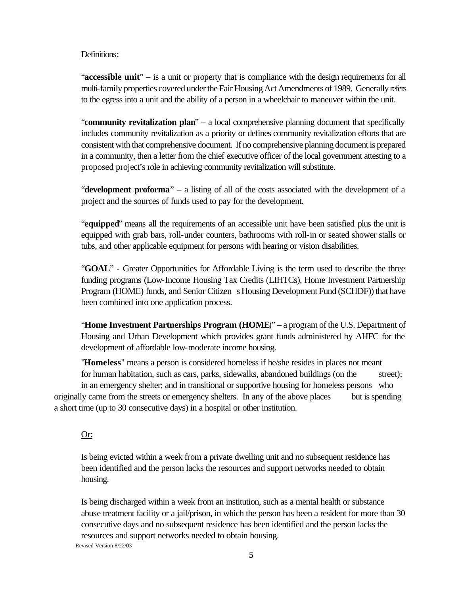#### Definitions:

"**accessible unit**" – is a unit or property that is compliance with the design requirements for all multi-family properties covered under the Fair Housing Act Amendments of 1989. Generally refers to the egress into a unit and the ability of a person in a wheelchair to maneuver within the unit.

"**community revitalization plan**" – a local comprehensive planning document that specifically includes community revitalization as a priority or defines community revitalization efforts that are consistent with that comprehensive document. If no comprehensive planning document is prepared in a community, then a letter from the chief executive officer of the local government attesting to a proposed project's role in achieving community revitalization will substitute.

"**development proforma**" – a listing of all of the costs associated with the development of a project and the sources of funds used to pay for the development.

"**equipped**" means all the requirements of an accessible unit have been satisfied plus the unit is equipped with grab bars, roll-under counters, bathrooms with roll-in or seated shower stalls or tubs, and other applicable equipment for persons with hearing or vision disabilities.

"**GOAL**" - Greater Opportunities for Affordable Living is the term used to describe the three funding programs (Low-Income Housing Tax Credits (LIHTCs), Home Investment Partnership Program (HOME) funds, and Senior Citizen s Housing Development Fund (SCHDF)) that have been combined into one application process.

"**Home Investment Partnerships Program (HOME**)" – a program of the U.S. Department of Housing and Urban Development which provides grant funds administered by AHFC for the development of affordable low-moderate income housing.

"**Homeless**" means a person is considered homeless if he/she resides in places not meant for human habitation, such as cars, parks, sidewalks, abandoned buildings (on the street);

in an emergency shelter; and in transitional or supportive housing for homeless persons who originally came from the streets or emergency shelters. In any of the above places but is spending a short time (up to 30 consecutive days) in a hospital or other institution.

#### Or:

Is being evicted within a week from a private dwelling unit and no subsequent residence has been identified and the person lacks the resources and support networks needed to obtain housing.

Revised Version 8/22/03 Is being discharged within a week from an institution, such as a mental health or substance abuse treatment facility or a jail/prison, in which the person has been a resident for more than 30 consecutive days and no subsequent residence has been identified and the person lacks the resources and support networks needed to obtain housing.

5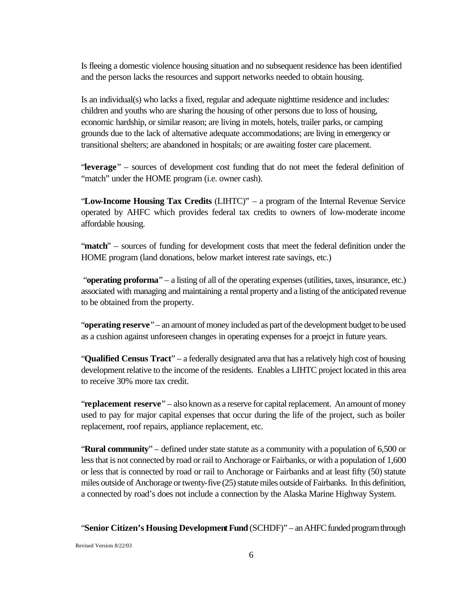Is fleeing a domestic violence housing situation and no subsequent residence has been identified and the person lacks the resources and support networks needed to obtain housing.

Is an individual(s) who lacks a fixed, regular and adequate nighttime residence and includes: children and youths who are sharing the housing of other persons due to loss of housing, economic hardship, or similar reason; are living in motels, hotels, trailer parks, or camping grounds due to the lack of alternative adequate accommodations; are living in emergency or transitional shelters; are abandoned in hospitals; or are awaiting foster care placement.

"**leverage**" – sources of development cost funding that do not meet the federal definition of "match" under the HOME program (i.e. owner cash).

"**Low-Income Housing Tax Credits** (LIHTC)" – a program of the Internal Revenue Service operated by AHFC which provides federal tax credits to owners of low-moderate income affordable housing.

"**match**" – sources of funding for development costs that meet the federal definition under the HOME program (land donations, below market interest rate savings, etc.)

 "**operating proforma**" – a listing of all of the operating expenses (utilities, taxes, insurance, etc.) associated with managing and maintaining a rental property and a listing of the anticipated revenue to be obtained from the property.

"**operating reserve**" – an amount of money included as part of the development budget to be used as a cushion against unforeseen changes in operating expenses for a proejct in future years.

"**Qualified Census Tract**" – a federally designated area that has a relatively high cost of housing development relative to the income of the residents. Enables a LIHTC project located in this area to receive 30% more tax credit.

"**replacement reserve**" – also known as a reserve for capital replacement. An amount of money used to pay for major capital expenses that occur during the life of the project, such as boiler replacement, roof repairs, appliance replacement, etc.

"**Rural community**" – defined under state statute as a community with a population of 6,500 or less that is not connected by road or rail to Anchorage or Fairbanks, or with a population of 1,600 or less that is connected by road or rail to Anchorage or Fairbanks and at least fifty (50) statute miles outside of Anchorage or twenty-five (25) statute miles outside of Fairbanks. In this definition, a connected by road's does not include a connection by the Alaska Marine Highway System.

"**Senior Citizen's Housing Development Fund** (SCHDF)" – an AHFC funded program through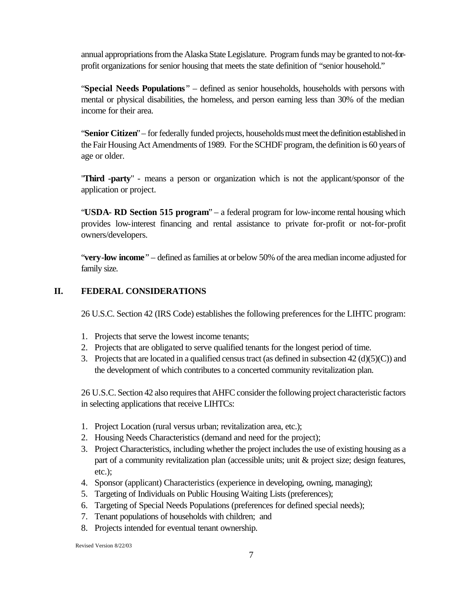annual appropriations from the Alaska State Legislature. Program funds may be granted to not-forprofit organizations for senior housing that meets the state definition of "senior household."

"**Special Needs Populations**" – defined as senior households, households with persons with mental or physical disabilities, the homeless, and person earning less than 30% of the median income for their area.

"**Senior Citizen**" – for federally funded projects, households must meet the definition established in the Fair Housing Act Amendments of 1989. For the SCHDF program, the definition is 60 years of age or older.

"**Third -party**" - means a person or organization which is not the applicant/sponsor of the application or project.

"**USDA- RD Section 515 program**" – a federal program for low-income rental housing which provides low-interest financing and rental assistance to private for-profit or not-for-profit owners/developers.

"**very-low income**" – defined as families at or below 50% of the area median income adjusted for family size.

#### **II. FEDERAL CONSIDERATIONS**

26 U.S.C. Section 42 (IRS Code) establishes the following preferences for the LIHTC program:

- 1. Projects that serve the lowest income tenants;
- 2. Projects that are obligated to serve qualified tenants for the longest period of time.
- 3. Projects that are located in a qualified census tract (as defined in subsection  $42 \text{ (d)(5)(C)}$ ) and the development of which contributes to a concerted community revitalization plan.

26 U.S.C. Section 42 also requires that AHFC consider the following project characteristic factors in selecting applications that receive LIHTCs:

- 1. Project Location (rural versus urban; revitalization area, etc.);
- 2. Housing Needs Characteristics (demand and need for the project);
- 3. Project Characteristics, including whether the project includes the use of existing housing as a part of a community revitalization plan (accessible units; unit & project size; design features, etc.);
- 4. Sponsor (applicant) Characteristics (experience in developing, owning, managing);
- 5. Targeting of Individuals on Public Housing Waiting Lists (preferences);
- 6. Targeting of Special Needs Populations (preferences for defined special needs);
- 7. Tenant populations of households with children; and
- 8. Projects intended for eventual tenant ownership.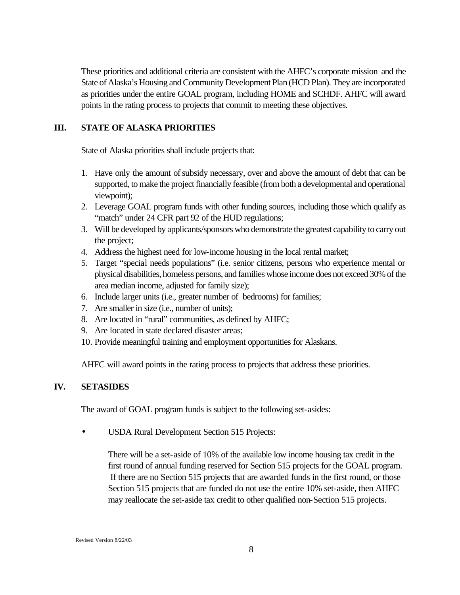These priorities and additional criteria are consistent with the AHFC's corporate mission and the State of Alaska's Housing and Community Development Plan (HCD Plan). They are incorporated as priorities under the entire GOAL program, including HOME and SCHDF. AHFC will award points in the rating process to projects that commit to meeting these objectives.

#### **III. STATE OF ALASKA PRIORITIES**

State of Alaska priorities shall include projects that:

- 1. Have only the amount of subsidy necessary, over and above the amount of debt that can be supported, to make the project financially feasible (from both a developmental and operational viewpoint);
- 2. Leverage GOAL program funds with other funding sources, including those which qualify as "match" under 24 CFR part 92 of the HUD regulations;
- 3. Will be developed by applicants/sponsors who demonstrate the greatest capability to carry out the project;
- 4. Address the highest need for low-income housing in the local rental market;
- 5. Target "special needs populations" (i.e. senior citizens, persons who experience mental or physical disabilities, homeless persons, and families whose income does not exceed 30% of the area median income, adjusted for family size);
- 6. Include larger units (i.e., greater number of bedrooms) for families;
- 7. Are smaller in size (i.e., number of units);
- 8. Are located in "rural" communities, as defined by AHFC;
- 9. Are located in state declared disaster areas;
- 10. Provide meaningful training and employment opportunities for Alaskans.

AHFC will award points in the rating process to projects that address these priorities.

#### **IV. SETASIDES**

The award of GOAL program funds is subject to the following set-asides:

• USDA Rural Development Section 515 Projects:

There will be a set-aside of 10% of the available low income housing tax credit in the first round of annual funding reserved for Section 515 projects for the GOAL program. If there are no Section 515 projects that are awarded funds in the first round, or those Section 515 projects that are funded do not use the entire 10% set-aside, then AHFC may reallocate the set-aside tax credit to other qualified non-Section 515 projects.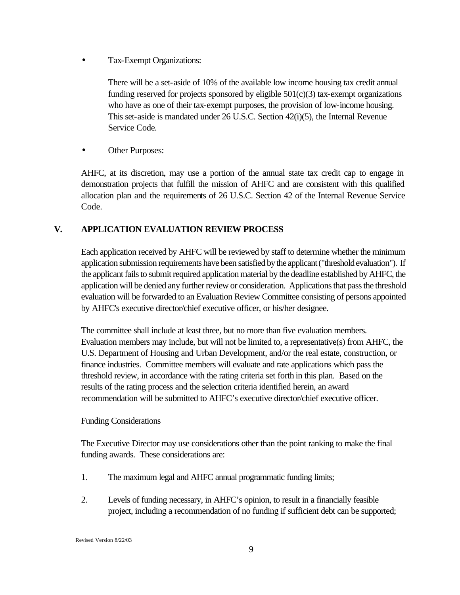*·* Tax-Exempt Organizations:

There will be a set-aside of 10% of the available low income housing tax credit annual funding reserved for projects sponsored by eligible 501(c)(3) tax-exempt organizations who have as one of their tax-exempt purposes, the provision of low-income housing. This set-aside is mandated under 26 U.S.C. Section 42(i)(5), the Internal Revenue Service Code*.*

**Other Purposes:** 

AHFC, at its discretion, may use a portion of the annual state tax credit cap to engage in demonstration projects that fulfill the mission of AHFC and are consistent with this qualified allocation plan and the requirements of 26 U.S.C. Section 42 of the Internal Revenue Service Code*.*

#### **V. APPLICATION EVALUATION REVIEW PROCESS**

Each application received by AHFC will be reviewed by staff to determine whether the minimum application submission requirements have been satisfied by the applicant ("threshold evaluation"). If the applicant fails to submit required application material by the deadline established by AHFC, the application will be denied any further review or consideration. Applications that pass the threshold evaluation will be forwarded to an Evaluation Review Committee consisting of persons appointed by AHFC's executive director/chief executive officer, or his/her designee.

The committee shall include at least three, but no more than five evaluation members. Evaluation members may include, but will not be limited to, a representative(s) from AHFC, the U.S. Department of Housing and Urban Development, and/or the real estate, construction, or finance industries. Committee members will evaluate and rate applications which pass the threshold review, in accordance with the rating criteria set forth in this plan. Based on the results of the rating process and the selection criteria identified herein, an award recommendation will be submitted to AHFC's executive director/chief executive officer.

#### Funding Considerations

The Executive Director may use considerations other than the point ranking to make the final funding awards. These considerations are:

- 1. The maximum legal and AHFC annual programmatic funding limits;
- 2. Levels of funding necessary, in AHFC's opinion, to result in a financially feasible project, including a recommendation of no funding if sufficient debt can be supported;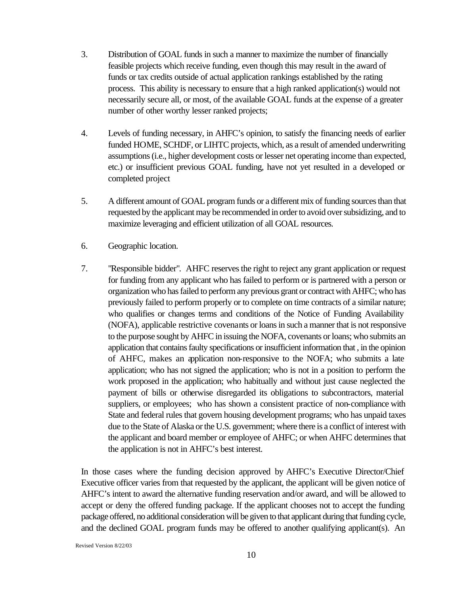- 3. Distribution of GOAL funds in such a manner to maximize the number of financially feasible projects which receive funding, even though this may result in the award of funds or tax credits outside of actual application rankings established by the rating process. This ability is necessary to ensure that a high ranked application(s) would not necessarily secure all, or most, of the available GOAL funds at the expense of a greater number of other worthy lesser ranked projects;
- 4. Levels of funding necessary, in AHFC's opinion, to satisfy the financing needs of earlier funded HOME, SCHDF, or LIHTC projects, which, as a result of amended underwriting assumptions (i.e., higher development costs or lesser net operating income than expected, etc.) or insufficient previous GOAL funding, have not yet resulted in a developed or completed project
- 5. A different amount of GOAL program funds or a different mix of funding sources than that requested by the applicant may be recommended in order to avoid over subsidizing, and to maximize leveraging and efficient utilization of all GOAL resources.
- 6. Geographic location.
- 7. "Responsible bidder". AHFC reserves the right to reject any grant application or request for funding from any applicant who has failed to perform or is partnered with a person or organization who has failed to perform any previous grant or contract with AHFC; who has previously failed to perform properly or to complete on time contracts of a similar nature; who qualifies or changes terms and conditions of the Notice of Funding Availability (NOFA), applicable restrictive covenants or loans in such a manner that is not responsive to the purpose sought by AHFC in issuing the NOFA, covenants or loans; who submits an application that contains faulty specifications or insufficient information that , in the opinion of AHFC, makes an application non-responsive to the NOFA; who submits a late application; who has not signed the application; who is not in a position to perform the work proposed in the application; who habitually and without just cause neglected the payment of bills or otherwise disregarded its obligations to subcontractors, material suppliers, or employees; who has shown a consistent practice of non-compliance with State and federal rules that govern housing development programs; who has unpaid taxes due to the State of Alaska or the U.S. government; where there is a conflict of interest with the applicant and board member or employee of AHFC; or when AHFC determines that the application is not in AHFC's best interest.

In those cases where the funding decision approved by AHFC's Executive Director/Chief Executive officer varies from that requested by the applicant, the applicant will be given notice of AHFC's intent to award the alternative funding reservation and/or award, and will be allowed to accept or deny the offered funding package. If the applicant chooses not to accept the funding package offered, no additional consideration will be given to that applicant during that funding cycle, and the declined GOAL program funds may be offered to another qualifying applicant(s). An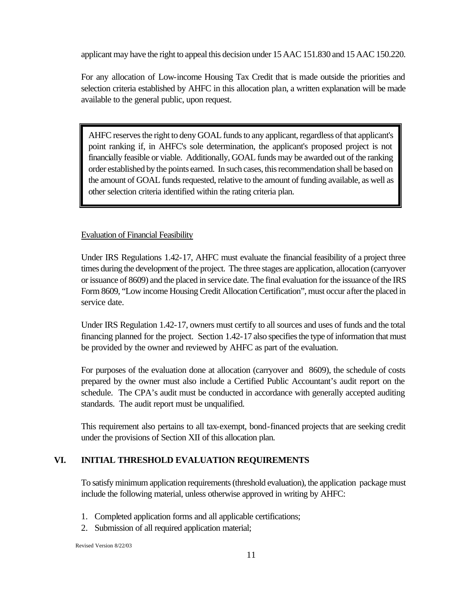applicant may have the right to appeal this decision under 15 AAC 151.830 and 15 AAC 150.220.

For any allocation of Low-income Housing Tax Credit that is made outside the priorities and selection criteria established by AHFC in this allocation plan, a written explanation will be made available to the general public, upon request.

AHFC reserves the right to deny GOAL funds to any applicant, regardless of that applicant's point ranking if, in AHFC's sole determination, the applicant's proposed project is not financially feasible or viable. Additionally, GOAL funds may be awarded out of the ranking order established by the points earned. In such cases, this recommendation shall be based on the amount of GOAL funds requested, relative to the amount of funding available, as well as other selection criteria identified within the rating criteria plan.

#### Evaluation of Financial Feasibility

Under IRS Regulations 1.42-17, AHFC must evaluate the financial feasibility of a project three times during the development of the project. The three stages are application, allocation (carryover or issuance of 8609) and the placed in service date. The final evaluation for the issuance of the IRS Form 8609, "Low income Housing Credit Allocation Certification", must occur after the placed in service date.

Under IRS Regulation 1.42-17, owners must certify to all sources and uses of funds and the total financing planned for the project. Section 1.42-17 also specifies the type of information that must be provided by the owner and reviewed by AHFC as part of the evaluation.

For purposes of the evaluation done at allocation (carryover and 8609), the schedule of costs prepared by the owner must also include a Certified Public Accountant's audit report on the schedule. The CPA's audit must be conducted in accordance with generally accepted auditing standards. The audit report must be unqualified.

This requirement also pertains to all tax-exempt, bond-financed projects that are seeking credit under the provisions of Section XII of this allocation plan.

#### **VI. INITIAL THRESHOLD EVALUATION REQUIREMENTS**

To satisfy minimum application requirements (threshold evaluation), the application package must include the following material, unless otherwise approved in writing by AHFC:

- 1. Completed application forms and all applicable certifications;
- 2. Submission of all required application material;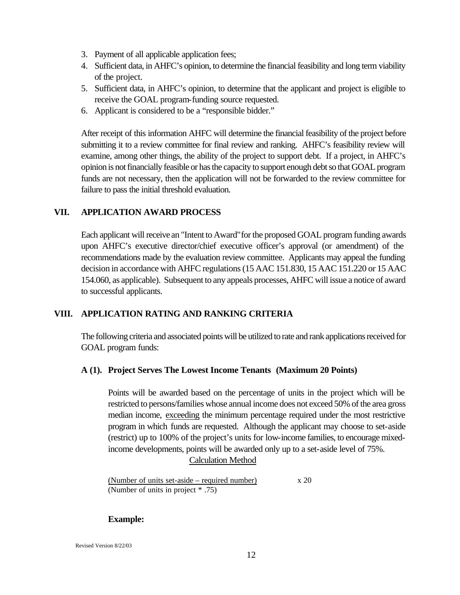- 3. Payment of all applicable application fees;
- 4. Sufficient data, in AHFC's opinion, to determine the financial feasibility and long term viability of the project.
- 5. Sufficient data, in AHFC's opinion, to determine that the applicant and project is eligible to receive the GOAL program-funding source requested.
- 6. Applicant is considered to be a "responsible bidder."

After receipt of this information AHFC will determine the financial feasibility of the project before submitting it to a review committee for final review and ranking. AHFC's feasibility review will examine, among other things, the ability of the project to support debt. If a project, in AHFC's opinion is not financially feasible or has the capacity to support enough debt so that GOAL program funds are not necessary, then the application will not be forwarded to the review committee for failure to pass the initial threshold evaluation.

#### **VII. APPLICATION AWARD PROCESS**

Each applicant will receive an "Intent to Award"for the proposed GOAL program funding awards upon AHFC's executive director/chief executive officer's approval (or amendment) of the recommendations made by the evaluation review committee. Applicants may appeal the funding decision in accordance with AHFC regulations (15 AAC 151.830, 15 AAC 151.220 or 15 AAC 154.060, as applicable). Subsequent to any appeals processes, AHFC will issue a notice of award to successful applicants.

#### **VIII. APPLICATION RATING AND RANKING CRITERIA**

The following criteria and associated points will be utilized to rate and rank applications received for GOAL program funds:

#### **A (1). Project Serves The Lowest Income Tenants (Maximum 20 Points)**

Points will be awarded based on the percentage of units in the project which will be restricted to persons/families whose annual income does not exceed 50% of the area gross median income, exceeding the minimum percentage required under the most restrictive program in which funds are requested. Although the applicant may choose to set-aside (restrict) up to 100% of the project's units for low-income families, to encourage mixedincome developments, points will be awarded only up to a set-aside level of 75%.

#### Calculation Method

(Number of units set-aside – required number)  $x 20$ (Number of units in project \* .75)

#### **Example:**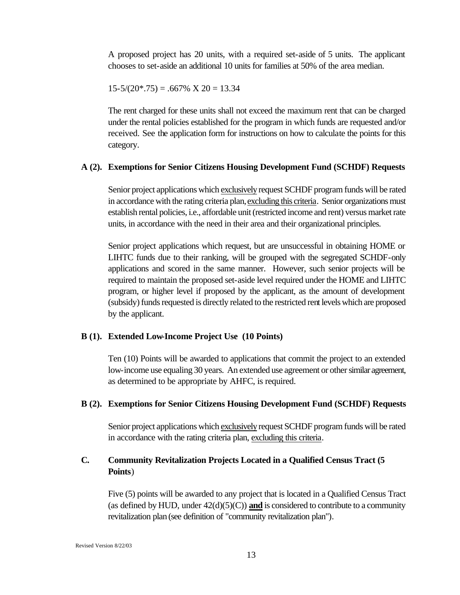A proposed project has 20 units, with a required set-aside of 5 units. The applicant chooses to set-aside an additional 10 units for families at 50% of the area median.

$$
15-5/(20*.75) = .667\% \times 20 = 13.34
$$

The rent charged for these units shall not exceed the maximum rent that can be charged under the rental policies established for the program in which funds are requested and/or received. See the application form for instructions on how to calculate the points for this category.

#### **A (2). Exemptions for Senior Citizens Housing Development Fund (SCHDF) Requests**

Senior project applications which exclusively request SCHDF program funds will be rated in accordance with the rating criteria plan, excluding this criteria. Senior organizations must establish rental policies, i.e., affordable unit (restricted income and rent) versus market rate units, in accordance with the need in their area and their organizational principles.

Senior project applications which request, but are unsuccessful in obtaining HOME or LIHTC funds due to their ranking, will be grouped with the segregated SCHDF-only applications and scored in the same manner. However, such senior projects will be required to maintain the proposed set-aside level required under the HOME and LIHTC program, or higher level if proposed by the applicant, as the amount of development (subsidy) funds requested is directly related to the restricted rent levels which are proposed by the applicant.

#### **B (1). Extended Low-Income Project Use (10 Points)**

Ten (10) Points will be awarded to applications that commit the project to an extended low-income use equaling 30 years. An extended use agreement or other similar agreement, as determined to be appropriate by AHFC, is required.

#### **B (2). Exemptions for Senior Citizens Housing Development Fund (SCHDF) Requests**

Senior project applications which exclusively request SCHDF program funds will be rated in accordance with the rating criteria plan, excluding this criteria.

#### **C. Community Revitalization Projects Located in a Qualified Census Tract (5 Points**)

Five (5) points will be awarded to any project that is located in a Qualified Census Tract (as defined by HUD, under  $42(d)(5)(C)$ ) and is considered to contribute to a community revitalization plan (see definition of "community revitalization plan").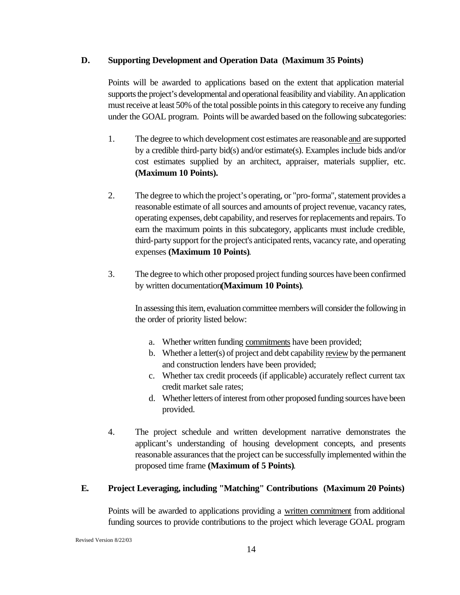#### **D. Supporting Development and Operation Data (Maximum 35 Points)**

Points will be awarded to applications based on the extent that application material supports the project's developmental and operational feasibility and viability. An application must receive at least 50% of the total possible points in this category to receive any funding under the GOAL program. Points will be awarded based on the following subcategories:

- 1. The degree to which development cost estimates are reasonable and are supported by a credible third-party bid(s) and/or estimate(s). Examples include bids and/or cost estimates supplied by an architect, appraiser, materials supplier, etc. **(Maximum 10 Points).**
- 2. The degree to which the project's operating, or "pro-forma", statement provides a reasonable estimate of all sources and amounts of project revenue, vacancy rates, operating expenses, debt capability, and reserves for replacements and repairs. To earn the maximum points in this subcategory, applicants must include credible, third-party support for the project's anticipated rents, vacancy rate, and operating expenses **(Maximum 10 Points)**.
- 3. The degree to which other proposed project funding sources have been confirmed by written documentation**(Maximum 10 Points)**.

In assessing this item, evaluation committee members will consider the following in the order of priority listed below:

- a. Whether written funding commitments have been provided;
- b. Whether a letter(s) of project and debt capability review by the permanent and construction lenders have been provided;
- c. Whether tax credit proceeds (if applicable) accurately reflect current tax credit market sale rates;
- d. Whether letters of interest from other proposed funding sources have been provided.
- 4. The project schedule and written development narrative demonstrates the applicant's understanding of housing development concepts, and presents reasonable assurances that the project can be successfully implemented within the proposed time frame **(Maximum of 5 Points)**.

#### **E. Project Leveraging, including "Matching" Contributions (Maximum 20 Points)**

Points will be awarded to applications providing a written commitment from additional funding sources to provide contributions to the project which leverage GOAL program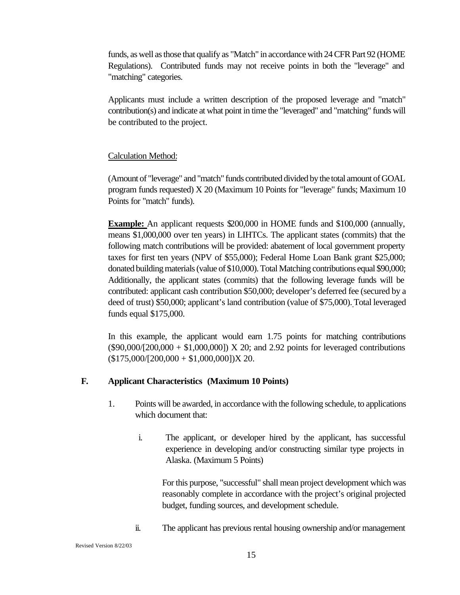funds, as well as those that qualify as "Match" in accordance with 24 CFR Part 92 (HOME Regulations). Contributed funds may not receive points in both the "leverage" and "matching" categories.

Applicants must include a written description of the proposed leverage and "match" contribution(s) and indicate at what point in time the "leveraged" and "matching" funds will be contributed to the project.

#### Calculation Method:

(Amount of "leverage" and "match" funds contributed divided by the total amount of GOAL program funds requested) X 20 (Maximum 10 Points for "leverage" funds; Maximum 10 Points for "match" funds).

**Example:** An applicant requests \$200,000 in HOME funds and \$100,000 (annually, means \$1,000,000 over ten years) in LIHTCs. The applicant states (commits) that the following match contributions will be provided: abatement of local government property taxes for first ten years (NPV of \$55,000); Federal Home Loan Bank grant \$25,000; donated building materials (value of \$10,000). Total Matching contributions equal \$90,000; Additionally, the applicant states (commits) that the following leverage funds will be contributed: applicant cash contribution \$50,000; developer's deferred fee (secured by a deed of trust) \$50,000; applicant's land contribution (value of \$75,000). Total leveraged funds equal \$175,000.

In this example, the applicant would earn 1.75 points for matching contributions  $($ \$90,000/ $/$ [200,000 + \$1,000,000]) X 20; and 2.92 points for leveraged contributions  $($175,000/[200,000 + $1,000,000])X 20.$ 

#### **F. Applicant Characteristics (Maximum 10 Points)**

- 1. Points will be awarded, in accordance with the following schedule, to applications which document that:
	- i. The applicant, or developer hired by the applicant, has successful experience in developing and/or constructing similar type projects in Alaska. (Maximum 5 Points)

For this purpose, "successful" shall mean project development which was reasonably complete in accordance with the project's original projected budget, funding sources, and development schedule.

ii. The applicant has previous rental housing ownership and/or management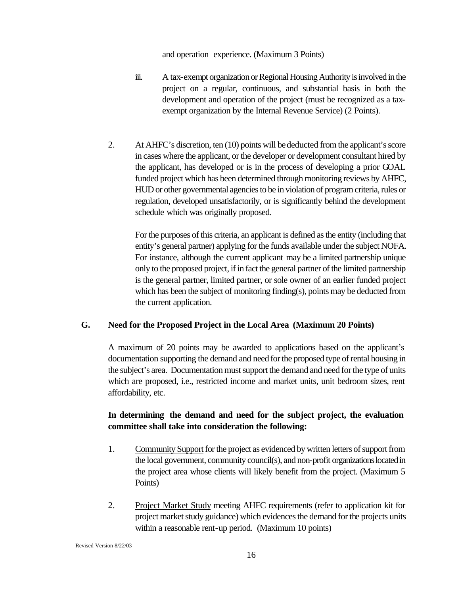and operation experience. (Maximum 3 Points)

- iii. A tax-exempt organization or Regional Housing Authority is involved in the project on a regular, continuous, and substantial basis in both the development and operation of the project (must be recognized as a taxexempt organization by the Internal Revenue Service) (2 Points).
- 2. At AHFC's discretion, ten (10) points will be deducted from the applicant's score in cases where the applicant, or the developer or development consultant hired by the applicant, has developed or is in the process of developing a prior GOAL funded project which has been determined through monitoring reviews by AHFC, HUD or other governmental agencies to be in violation of program criteria, rules or regulation, developed unsatisfactorily, or is significantly behind the development schedule which was originally proposed.

For the purposes of this criteria, an applicant is defined as the entity (including that entity's general partner) applying for the funds available under the subject NOFA. For instance, although the current applicant may be a limited partnership unique only to the proposed project, if in fact the general partner of the limited partnership is the general partner, limited partner, or sole owner of an earlier funded project which has been the subject of monitoring finding(s), points may be deducted from the current application.

#### **G. Need for the Proposed Project in the Local Area (Maximum 20 Points)**

A maximum of 20 points may be awarded to applications based on the applicant's documentation supporting the demand and need for the proposed type of rental housing in the subject's area. Documentation must support the demand and need for the type of units which are proposed, i.e., restricted income and market units, unit bedroom sizes, rent affordability, etc.

#### **In determining the demand and need for the subject project, the evaluation committee shall take into consideration the following:**

- 1. Community Support for the project as evidenced by written letters of support from the local government, community council(s), and non-profit organizations located in the project area whose clients will likely benefit from the project. (Maximum 5 Points)
- 2. Project Market Study meeting AHFC requirements (refer to application kit for project market study guidance) which evidences the demand for the projects units within a reasonable rent-up period. (Maximum 10 points)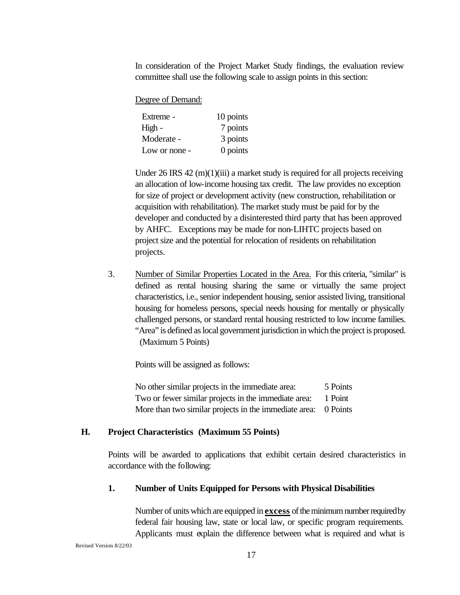In consideration of the Project Market Study findings, the evaluation review committee shall use the following scale to assign points in this section:

Degree of Demand:

| Extreme -     | 10 points |
|---------------|-----------|
| High -        | 7 points  |
| Moderate -    | 3 points  |
| Low or none - | 0 points  |

Under 26 IRS 42  $(m)(1)(iii)$  a market study is required for all projects receiving an allocation of low-income housing tax credit. The law provides no exception for size of project or development activity (new construction, rehabilitation or acquisition with rehabilitation). The market study must be paid for by the developer and conducted by a disinterested third party that has been approved by AHFC. Exceptions may be made for non-LIHTC projects based on project size and the potential for relocation of residents on rehabilitation projects.

3. Number of Similar Properties Located in the Area. For this criteria, "similar" is defined as rental housing sharing the same or virtually the same project characteristics, i.e., senior independent housing, senior assisted living, transitional housing for homeless persons, special needs housing for mentally or physically challenged persons, or standard rental housing restricted to low income families. "Area" is defined as local government jurisdiction in which the project is proposed. (Maximum 5 Points)

Points will be assigned as follows:

| No other similar projects in the immediate area:               | 5 Points |
|----------------------------------------------------------------|----------|
| Two or fewer similar projects in the immediate area:           | 1 Point  |
| More than two similar projects in the immediate area: 0 Points |          |

#### **H. Project Characteristics (Maximum 55 Points)**

Points will be awarded to applications that exhibit certain desired characteristics in accordance with the following:

#### **1. Number of Units Equipped for Persons with Physical Disabilities**

Number of units which are equipped in **excess** of the minimum number required by federal fair housing law, state or local law, or specific program requirements. Applicants must explain the difference between what is required and what is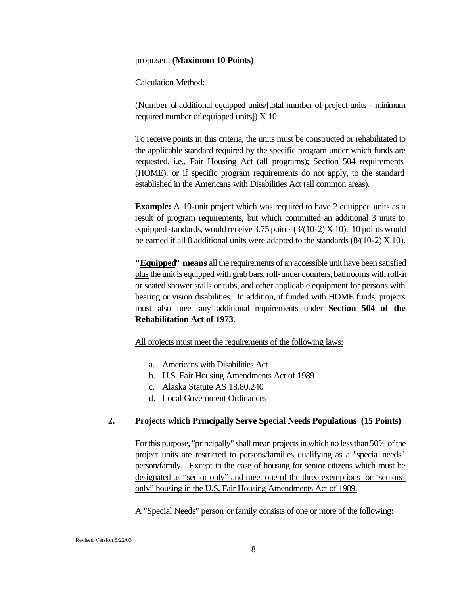#### proposed. **(Maximum 10 Points)**

#### Calculation Method:

(Number of additional equipped units/[total number of project units - minimum required number of equipped units]) X 10

To receive points in this criteria, the units must be constructed or rehabilitated to the applicable standard required by the specific program under which funds are requested, i.e., Fair Housing Act (all programs); Section 504 requirements (HOME), or if specific program requirements do not apply, to the standard established in the Americans with Disabilities Act (all common areas).

**Example:** A 10-unit project which was required to have 2 equipped units as a result of program requirements, but which committed an additional 3 units to equipped standards, would receive 3.75 points (3/(10-2) X 10). 10 points would be earned if all 8 additional units were adapted to the standards  $(8/(10-2) X 10)$ .

**"Equipped" means** all the requirements of an accessible unit have been satisfied plus the unit is equipped with grab bars, roll-under counters, bathrooms with roll-in or seated shower stalls or tubs, and other applicable equipment for persons with hearing or vision disabilities. In addition, if funded with HOME funds, projects must also meet any additional requirements under **Section 504 of the Rehabilitation Act of 1973**.

All projects must meet the requirements of the following laws:

- a. Americans with Disabilities Act
- b. U.S. Fair Housing Amendments Act of 1989
- c. Alaska Statute AS 18.80.240
- d. Local Government Ordinances

#### **2. Projects which Principally Serve Special Needs Populations (15 Points)**

For this purpose, "principally" shall mean projects in which no less than50% of the project units are restricted to persons/families qualifying as a "special needs" person/family. Except in the case of housing for senior citizens which must be designated as "senior only" and meet one of the three exemptions for "seniorsonly" housing in the U.S. Fair Housing Amendments Act of 1989.

A "Special Needs" person or family consists of one or more of the following: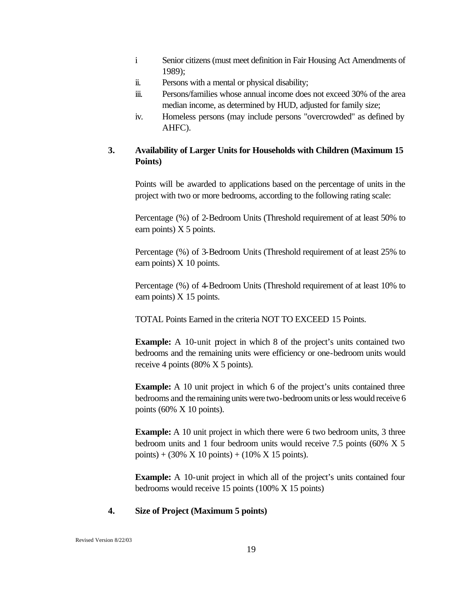- i Senior citizens (must meet definition in Fair Housing Act Amendments of 1989);
- ii. Persons with a mental or physical disability;
- iii. Persons/families whose annual income does not exceed 30% of the area median income, as determined by HUD, adjusted for family size;
- iv. Homeless persons (may include persons "overcrowded" as defined by AHFC).

#### **3. Availability of Larger Units for Households with Children (Maximum 15 Points)**

Points will be awarded to applications based on the percentage of units in the project with two or more bedrooms, according to the following rating scale:

Percentage (%) of 2-Bedroom Units (Threshold requirement of at least 50% to earn points)  $X$  5 points.

Percentage (%) of 3-Bedroom Units (Threshold requirement of at least 25% to earn points) X 10 points.

Percentage (%) of 4-Bedroom Units (Threshold requirement of at least 10% to earn points)  $X$  15 points.

TOTAL Points Earned in the criteria NOT TO EXCEED 15 Points.

**Example:** A 10-unit project in which 8 of the project's units contained two bedrooms and the remaining units were efficiency or one-bedroom units would receive 4 points (80% X 5 points).

**Example:** A 10 unit project in which 6 of the project's units contained three bedrooms and the remaining units were two-bedroom units or less would receive 6 points (60% X 10 points).

**Example:** A 10 unit project in which there were 6 two bedroom units, 3 three bedroom units and 1 four bedroom units would receive 7.5 points (60% X 5 points) +  $(30\% \times 10 \text{ points}) + (10\% \times 15 \text{ points}).$ 

**Example:** A 10-unit project in which all of the project's units contained four bedrooms would receive 15 points (100% X 15 points)

#### **4. Size of Project (Maximum 5 points)**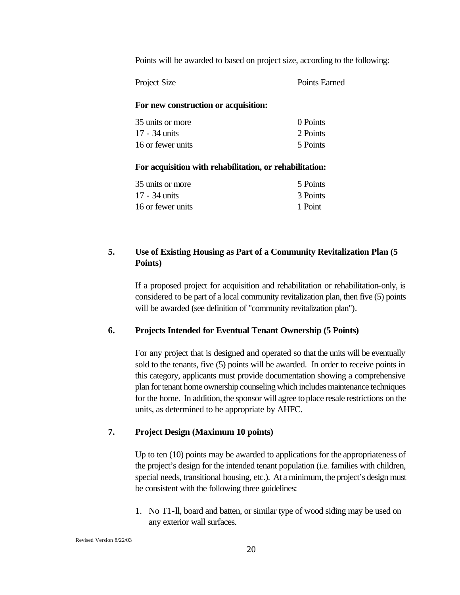Points will be awarded to based on project size, according to the following:

| Project Size | Points Earned |
|--------------|---------------|
|--------------|---------------|

#### **For new construction or acquisition:**

| 35 units or more  | 0 Points |
|-------------------|----------|
| 17 - 34 units     | 2 Points |
| 16 or fewer units | 5 Points |

#### **For acquisition with rehabilitation, or rehabilitation:**

| 35 units or more  | 5 Points |
|-------------------|----------|
| 17 - 34 units     | 3 Points |
| 16 or fewer units | 1 Point  |

#### **5. Use of Existing Housing as Part of a Community Revitalization Plan (5 Points)**

If a proposed project for acquisition and rehabilitation or rehabilitation-only, is considered to be part of a local community revitalization plan, then five (5) points will be awarded (see definition of "community revitalization plan").

#### **6. Projects Intended for Eventual Tenant Ownership (5 Points)**

For any project that is designed and operated so that the units will be eventually sold to the tenants, five (5) points will be awarded. In order to receive points in this category, applicants must provide documentation showing a comprehensive plan for tenant home ownership counseling which includes maintenance techniques for the home. In addition, the sponsor will agree to place resale restrictions on the units, as determined to be appropriate by AHFC.

#### **7. Project Design (Maximum 10 points)**

Up to ten (10) points may be awarded to applications for the appropriateness of the project's design for the intended tenant population (i.e. families with children, special needs, transitional housing, etc.). At a minimum, the project's design must be consistent with the following three guidelines:

1. No T1-ll, board and batten, or similar type of wood siding may be used on any exterior wall surfaces.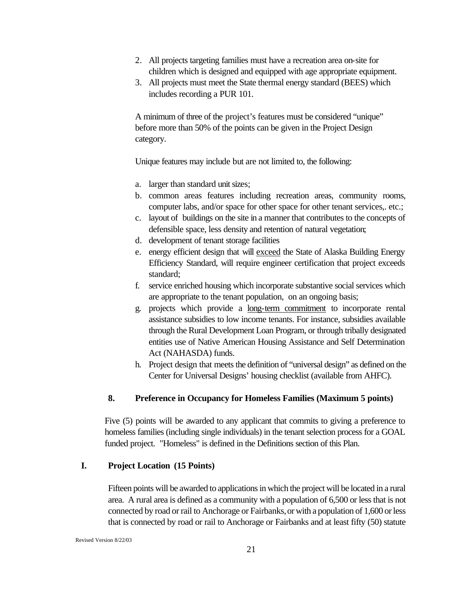- 2. All projects targeting families must have a recreation area on-site for children which is designed and equipped with age appropriate equipment.
- 3. All projects must meet the State thermal energy standard (BEES) which includes recording a PUR 101.

A minimum of three of the project's features must be considered "unique" before more than 50% of the points can be given in the Project Design category.

Unique features may include but are not limited to, the following:

- a. larger than standard unit sizes;
- b. common areas features including recreation areas, community rooms, computer labs, and/or space for other space for other tenant services,. etc.;
- c. layout of buildings on the site in a manner that contributes to the concepts of defensible space, less density and retention of natural vegetation;
- d. development of tenant storage facilities
- e. energy efficient design that will exceed the State of Alaska Building Energy Efficiency Standard, will require engineer certification that project exceeds standard;
- f. service enriched housing which incorporate substantive social services which are appropriate to the tenant population, on an ongoing basis;
- g. projects which provide a long-term commitment to incorporate rental assistance subsidies to low income tenants. For instance, subsidies available through the Rural Development Loan Program, or through tribally designated entities use of Native American Housing Assistance and Self Determination Act (NAHASDA) funds.
- h. Project design that meets the definition of "universal design" as defined on the Center for Universal Designs' housing checklist (available from AHFC).

#### **8. Preference in Occupancy for Homeless Families (Maximum 5 points)**

Five (5) points will be awarded to any applicant that commits to giving a preference to homeless families (including single individuals) in the tenant selection process for a GOAL funded project. "Homeless" is defined in the Definitions section of this Plan.

#### **I. Project Location (15 Points)**

Fifteen points will be awarded to applications in which the project will be located in a rural area. A rural area is defined as a community with a population of 6,500 or less that is not connected by road or rail to Anchorage or Fairbanks, or with a population of 1,600 or less that is connected by road or rail to Anchorage or Fairbanks and at least fifty (50) statute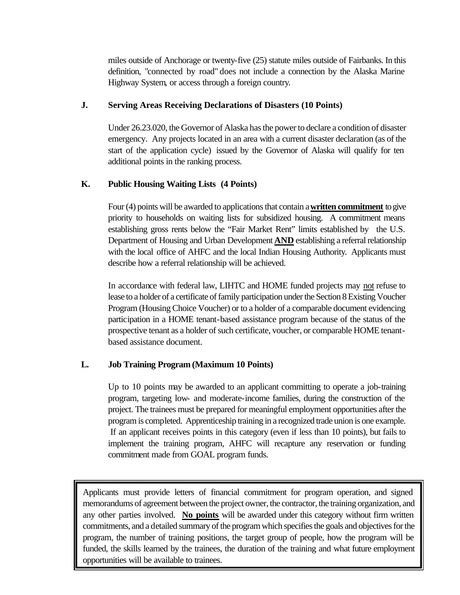miles outside of Anchorage or twenty-five (25) statute miles outside of Fairbanks. In this definition, "connected by road" does not include a connection by the Alaska Marine Highway System, or access through a foreign country.

#### **J. Serving Areas Receiving Declarations of Disasters (10 Points)**

Under 26.23.020, the Governor of Alaska has the power to declare a condition of disaster emergency. Any projects located in an area with a current disaster declaration (as of the start of the application cycle) issued by the Governor of Alaska will qualify for ten additional points in the ranking process.

#### **K. Public Housing Waiting Lists (4 Points)**

Four (4) points will be awarded to applications that contain a **written commitment** to give priority to households on waiting lists for subsidized housing. A commitment means establishing gross rents below the "Fair Market Rent" limits established by the U.S. Department of Housing and Urban Development **AND** establishing a referral relationship with the local office of AHFC and the local Indian Housing Authority. Applicants must describe how a referral relationship will be achieved.

In accordance with federal law, LIHTC and HOME funded projects may not refuse to lease to a holder of a certificate of family participation under the Section 8 Existing Voucher Program (Housing Choice Voucher) or to a holder of a comparable document evidencing participation in a HOME tenant-based assistance program because of the status of the prospective tenant as a holder of such certificate, voucher, or comparable HOME tenantbased assistance document.

#### **L. Job Training Program (Maximum 10 Points)**

Up to 10 points may be awarded to an applicant committing to operate a job-training program, targeting low- and moderate-income families, during the construction of the project. The trainees must be prepared for meaningful employment opportunities after the program is completed. Apprenticeship training in a recognized trade union is one example. If an applicant receives points in this category (even if less than 10 points), but fails to implement the training program, AHFC will recapture any reservation or funding commitment made from GOAL program funds.

program, the number of training positions, the target group of people, how the program will be funded, the skills learned by the trainees, the duration of the training and what future employment Applicants must provide letters of financial commitment for program operation, and signed memorandums of agreement between the project owner, the contractor, the training organization, and any other parties involved. **No points** will be awarded under this category without firm written commitments, and a detailed summary of the program which specifies the goals and objectives for the opportunities will be available to trainees.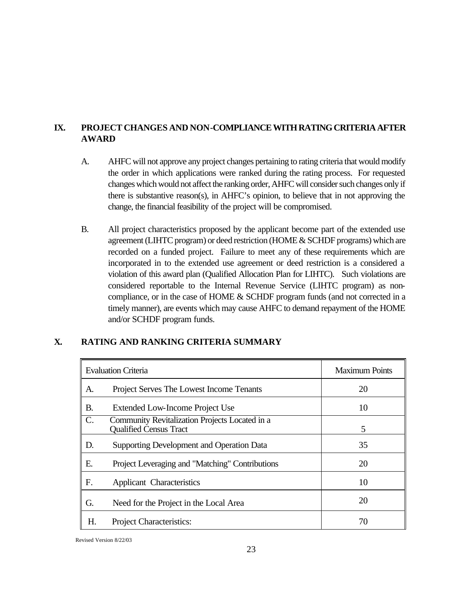#### **IX. PROJECT CHANGES AND NON-COMPLIANCE WITH RATING CRITERIA AFTER AWARD**

- A. AHFC will not approve any project changes pertaining to rating criteria that would modify the order in which applications were ranked during the rating process. For requested changes which would not affect the ranking order, AHFC will consider such changes only if there is substantive reason(s), in AHFC's opinion, to believe that in not approving the change, the financial feasibility of the project will be compromised.
- B. All project characteristics proposed by the applicant become part of the extended use agreement (LIHTC program) or deed restriction (HOME & SCHDF programs) which are recorded on a funded project. Failure to meet any of these requirements which are incorporated in to the extended use agreement or deed restriction is a considered a violation of this award plan (Qualified Allocation Plan for LIHTC). Such violations are considered reportable to the Internal Revenue Service (LIHTC program) as noncompliance, or in the case of HOME & SCHDF program funds (and not corrected in a timely manner), are events which may cause AHFC to demand repayment of the HOME and/or SCHDF program funds.

#### **X. RATING AND RANKING CRITERIA SUMMARY**

| <b>Evaluation Criteria</b> |                                                                                 | <b>Maximum Points</b> |
|----------------------------|---------------------------------------------------------------------------------|-----------------------|
| A.                         | Project Serves The Lowest Income Tenants                                        | 20                    |
| <b>B.</b>                  | Extended Low-Income Project Use                                                 | 10                    |
| $\mathcal{C}$ .            | Community Revitalization Projects Located in a<br><b>Qualified Census Tract</b> | 5                     |
| D.                         | Supporting Development and Operation Data                                       | 35                    |
| E.                         | Project Leveraging and "Matching" Contributions                                 | 20                    |
| F.                         | Applicant Characteristics                                                       | 10                    |
| G.                         | Need for the Project in the Local Area                                          | 20                    |
| Н.                         | Project Characteristics:                                                        | 70                    |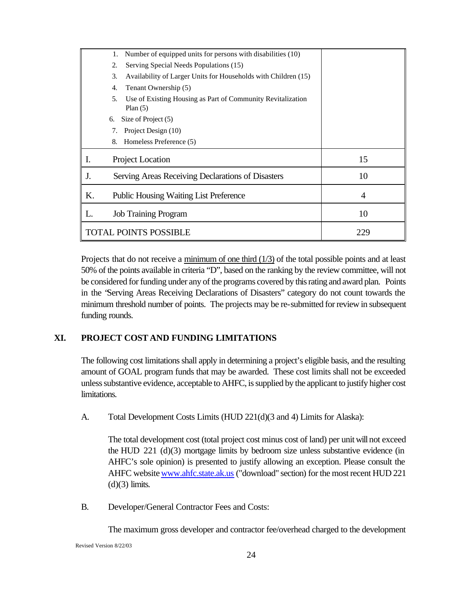|                              | Number of equipped units for persons with disabilities (10)<br>1.               |     |
|------------------------------|---------------------------------------------------------------------------------|-----|
|                              | 2.<br>Serving Special Needs Populations (15)                                    |     |
|                              | 3.<br>Availability of Larger Units for Households with Children (15)            |     |
|                              | Tenant Ownership (5)<br>4.                                                      |     |
|                              | Use of Existing Housing as Part of Community Revitalization<br>5.<br>Plan $(5)$ |     |
| 6.                           | Size of Project (5)                                                             |     |
|                              | Project Design (10)<br>7.                                                       |     |
|                              | Homeless Preference (5)<br>8.                                                   |     |
| Ι.                           | Project Location                                                                | 15  |
| J.                           | Serving Areas Receiving Declarations of Disasters                               | 10  |
| K.                           | Public Housing Waiting List Preference                                          | 4   |
| L.                           | <b>Job Training Program</b>                                                     | 10  |
| <b>TOTAL POINTS POSSIBLE</b> |                                                                                 | 229 |

Projects that do not receive a minimum of one third (1/3) of the total possible points and at least 50% of the points available in criteria "D", based on the ranking by the review committee, will not be considered for funding under any of the programs covered by this rating and award plan. Points in the "Serving Areas Receiving Declarations of Disasters" category do not count towards the minimum threshold number of points. The projects may be re-submitted for review in subsequent funding rounds.

#### **XI. PROJECT COST AND FUNDING LIMITATIONS**

The following cost limitations shall apply in determining a project's eligible basis, and the resulting amount of GOAL program funds that may be awarded. These cost limits shall not be exceeded unless substantive evidence, acceptable to AHFC, is supplied by the applicant to justify higher cost limitations.

A. Total Development Costs Limits (HUD 221(d)(3 and 4) Limits for Alaska):

The total development cost (total project cost minus cost of land) per unit will not exceed the HUD 221 (d)(3) mortgage limits by bedroom size unless substantive evidence (in AHFC's sole opinion) is presented to justify allowing an exception. Please consult the AHFC website www.ahfc.state.ak.us ("download" section) for the most recent HUD 221  $(d)(3)$  limits.

B. Developer/General Contractor Fees and Costs:

The maximum gross developer and contractor fee/overhead charged to the development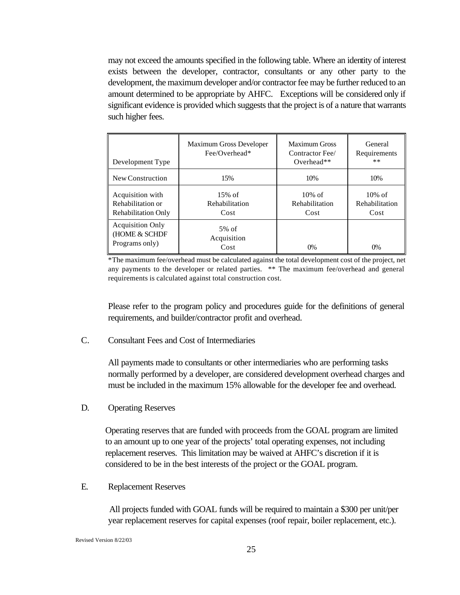may not exceed the amounts specified in the following table. Where an identity of interest exists between the developer, contractor, consultants or any other party to the development, the maximum developer and/or contractor fee may be further reduced to an amount determined to be appropriate by AHFC. Exceptions will be considered only if significant evidence is provided which suggests that the project is of a nature that warrants such higher fees.

| Development Type                                                    | Maximum Gross Developer<br>$Fee/O$ verhead* | <b>Maximum Gross</b><br>Contractor Fee/<br>Overhead** | General<br>Requirements<br>**       |
|---------------------------------------------------------------------|---------------------------------------------|-------------------------------------------------------|-------------------------------------|
| New Construction                                                    | 15%                                         | 10%                                                   | 10%                                 |
| Acquisition with<br>Rehabilitation or<br><b>Rehabilitation Only</b> | $15%$ of<br>Rehabilitation<br>Cost          | $10\%$ of<br>Rehabilitation<br>Cost                   | $10\%$ of<br>Rehabilitation<br>Cost |
| <b>Acquisition Only</b><br>(HOME & SCHDF<br>Programs only)          | $5\%$ of<br>Acquisition<br>Cost             | $0\%$                                                 | 0%                                  |

\*The maximum fee/overhead must be calculated against the total development cost of the project, net any payments to the developer or related parties. \*\* The maximum fee/overhead and general requirements is calculated against total construction cost.

Please refer to the program policy and procedures guide for the definitions of general requirements, and builder/contractor profit and overhead.

C. Consultant Fees and Cost of Intermediaries

All payments made to consultants or other intermediaries who are performing tasks normally performed by a developer, are considered development overhead charges and must be included in the maximum 15% allowable for the developer fee and overhead.

D. Operating Reserves

Operating reserves that are funded with proceeds from the GOAL program are limited to an amount up to one year of the projects' total operating expenses, not including replacement reserves. This limitation may be waived at AHFC's discretion if it is considered to be in the best interests of the project or the GOAL program.

E. Replacement Reserves

All projects funded with GOAL funds will be required to maintain a \$300 per unit/per year replacement reserves for capital expenses (roof repair, boiler replacement, etc.).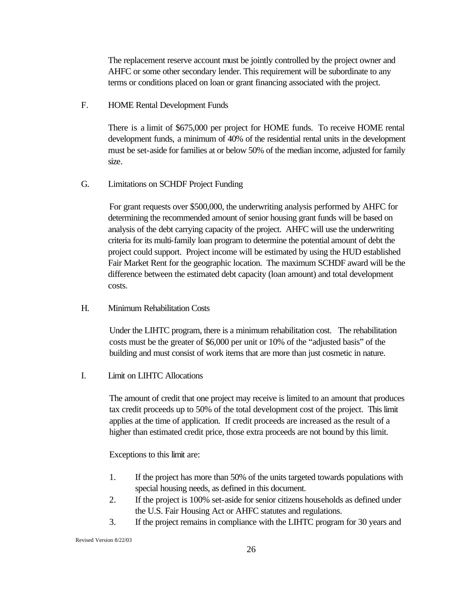The replacement reserve account must be jointly controlled by the project owner and AHFC or some other secondary lender. This requirement will be subordinate to any terms or conditions placed on loan or grant financing associated with the project.

F. HOME Rental Development Funds

There is a limit of \$675,000 per project for HOME funds. To receive HOME rental development funds, a minimum of 40% of the residential rental units in the development must be set-aside for families at or below 50% of the median income, adjusted for family size.

G. Limitations on SCHDF Project Funding

For grant requests over \$500,000, the underwriting analysis performed by AHFC for determining the recommended amount of senior housing grant funds will be based on analysis of the debt carrying capacity of the project. AHFC will use the underwriting criteria for its multi-family loan program to determine the potential amount of debt the project could support. Project income will be estimated by using the HUD established Fair Market Rent for the geographic location. The maximum SCHDF award will be the difference between the estimated debt capacity (loan amount) and total development costs*.*

H. Minimum Rehabilitation Costs

Under the LIHTC program, there is a minimum rehabilitation cost. The rehabilitation costs must be the greater of \$6,000 per unit or 10% of the "adjusted basis" of the building and must consist of work items that are more than just cosmetic in nature.

I. Limit on LIHTC Allocations

The amount of credit that one project may receive is limited to an amount that produces tax credit proceeds up to 50% of the total development cost of the project. This limit applies at the time of application. If credit proceeds are increased as the result of a higher than estimated credit price, those extra proceeds are not bound by this limit.

Exceptions to this limit are:

- 1. If the project has more than 50% of the units targeted towards populations with special housing needs, as defined in this document.
- 2. If the project is 100% set-aside for senior citizens households as defined under the U.S. Fair Housing Act or AHFC statutes and regulations.
- 3. If the project remains in compliance with the LIHTC program for 30 years and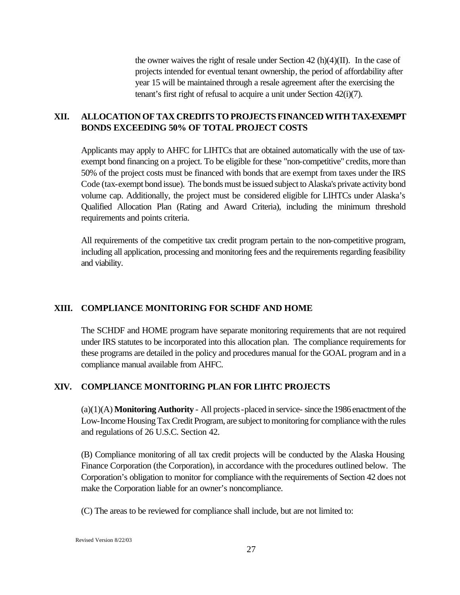the owner waives the right of resale under Section  $42(h)(4)(II)$ . In the case of projects intended for eventual tenant ownership, the period of affordability after year 15 will be maintained through a resale agreement after the exercising the tenant's first right of refusal to acquire a unit under Section 42(i)(7).

#### **XII. ALLOCATION OF TAX CREDITS TO PROJECTS FINANCED WITH TAX-EXEMPT BONDS EXCEEDING 50% OF TOTAL PROJECT COSTS**

Applicants may apply to AHFC for LIHTCs that are obtained automatically with the use of taxexempt bond financing on a project. To be eligible for these "non-competitive" credits, more than 50% of the project costs must be financed with bonds that are exempt from taxes under the IRS Code (tax-exempt bond issue). The bonds must be issued subject to Alaska's private activity bond volume cap. Additionally, the project must be considered eligible for LIHTCs under Alaska's Qualified Allocation Plan (Rating and Award Criteria), including the minimum threshold requirements and points criteria.

All requirements of the competitive tax credit program pertain to the non-competitive program, including all application, processing and monitoring fees and the requirements regarding feasibility and viability.

#### **XIII. COMPLIANCE MONITORING FOR SCHDF AND HOME**

The SCHDF and HOME program have separate monitoring requirements that are not required under IRS statutes to be incorporated into this allocation plan. The compliance requirements for these programs are detailed in the policy and procedures manual for the GOAL program and in a compliance manual available from AHFC.

#### **XIV. COMPLIANCE MONITORING PLAN FOR LIHTC PROJECTS**

(a)(1)(A) **Monitoring Authority** - All projects -placed in service- since the 1986 enactment of the Low-Income Housing Tax Credit Program, are subject to monitoring for compliance with the rules and regulations of 26 U.S.C. Section 42.

(B) Compliance monitoring of all tax credit projects will be conducted by the Alaska Housing Finance Corporation (the Corporation), in accordance with the procedures outlined below. The Corporation's obligation to monitor for compliance with the requirements of Section 42 does not make the Corporation liable for an owner's noncompliance.

(C) The areas to be reviewed for compliance shall include, but are not limited to: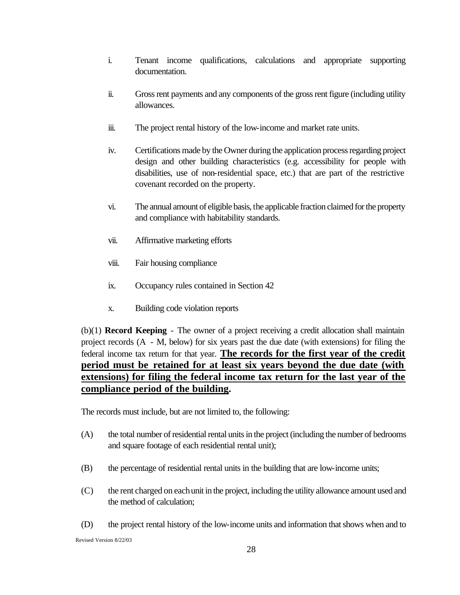- i. Tenant income qualifications, calculations and appropriate supporting documentation.
- ii. Gross rent payments and any components of the gross rent figure (including utility allowances.
- iii. The project rental history of the low-income and market rate units.
- iv. Certifications made by the Owner during the application process regarding project design and other building characteristics (e.g. accessibility for people with disabilities, use of non-residential space, etc.) that are part of the restrictive covenant recorded on the property.
- vi. The annual amount of eligible basis, the applicable fraction claimed for the property and compliance with habitability standards.
- vii. Affirmative marketing efforts
- viii. Fair housing compliance
- ix. Occupancy rules contained in Section 42
- x. Building code violation reports

(b)(1) **Record Keeping** - The owner of a project receiving a credit allocation shall maintain project records (A - M, below) for six years past the due date (with extensions) for filing the federal income tax return for that year. **The records for the first year of the credit period must be retained for at least six years beyond the due date (with extensions) for filing the federal income tax return for the last year of the compliance period of the building.**

The records must include, but are not limited to, the following:

- (A) the total number of residential rental units in the project (including the number of bedrooms and square footage of each residential rental unit);
- (B) the percentage of residential rental units in the building that are low-income units;
- (C) the rent charged on each unit in the project, including the utility allowance amount used and the method of calculation;
- Revised Version 8/22/03 (D) the project rental history of the low-income units and information that shows when and to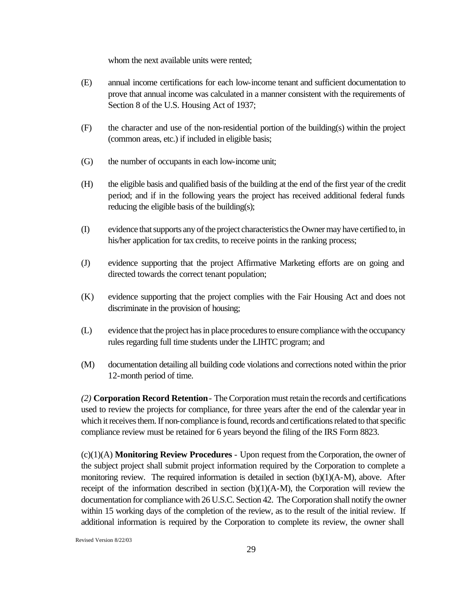whom the next available units were rented;

- (E) annual income certifications for each low-income tenant and sufficient documentation to prove that annual income was calculated in a manner consistent with the requirements of Section 8 of the U.S. Housing Act of 1937;
- (F) the character and use of the non-residential portion of the building(s) within the project (common areas, etc.) if included in eligible basis;
- (G) the number of occupants in each low-income unit;
- (H) the eligible basis and qualified basis of the building at the end of the first year of the credit period; and if in the following years the project has received additional federal funds reducing the eligible basis of the building(s);
- (I) evidence that supports any of the project characteristics the Owner may have certified to, in his/her application for tax credits, to receive points in the ranking process;
- (J) evidence supporting that the project Affirmative Marketing efforts are on going and directed towards the correct tenant population;
- (K) evidence supporting that the project complies with the Fair Housing Act and does not discriminate in the provision of housing;
- (L) evidence that the project has in place procedures to ensure compliance with the occupancy rules regarding full time students under the LIHTC program; and
- (M) documentation detailing all building code violations and corrections noted within the prior 12-month period of time.

*(2)* **Corporation Record Retention**- The Corporation must retain the records and certifications used to review the projects for compliance, for three years after the end of the calendar year in which it receives them. If non-compliance is found, records and certifications related to that specific compliance review must be retained for 6 years beyond the filing of the IRS Form 8823.

(c)(1)(A) **Monitoring Review Procedures** - Upon request from the Corporation, the owner of the subject project shall submit project information required by the Corporation to complete a monitoring review. The required information is detailed in section  $(b)(1)(A-M)$ , above. After receipt of the information described in section  $(b)(1)(A-M)$ , the Corporation will review the documentation for compliance with 26 U.S.C. Section 42. The Corporation shall notify the owner within 15 working days of the completion of the review, as to the result of the initial review. If additional information is required by the Corporation to complete its review, the owner shall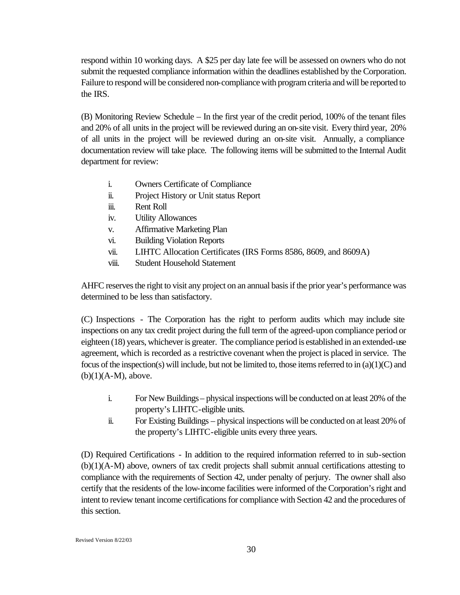respond within 10 working days. A \$25 per day late fee will be assessed on owners who do not submit the requested compliance information within the deadlines established by the Corporation. Failure to respond will be considered non-compliance with program criteria and will be reported to the IRS.

(B) Monitoring Review Schedule – In the first year of the credit period, 100% of the tenant files and 20% of all units in the project will be reviewed during an on-site visit. Every third year, 20% of all units in the project will be reviewed during an on-site visit. Annually, a compliance documentation review will take place. The following items will be submitted to the Internal Audit department for review:

- i. Owners Certificate of Compliance
- ii. Project History or Unit status Report
- iii. Rent Roll
- iv. Utility Allowances
- v. Affirmative Marketing Plan
- vi. Building Violation Reports
- vii. LIHTC Allocation Certificates (IRS Forms 8586, 8609, and 8609A)
- viii. Student Household Statement

AHFC reserves the right to visit any project on an annual basis if the prior year's performance was determined to be less than satisfactory.

(C) Inspections - The Corporation has the right to perform audits which may include site inspections on any tax credit project during the full term of the agreed-upon compliance period or eighteen (18) years, whichever is greater. The compliance period is established in an extended-use agreement, which is recorded as a restrictive covenant when the project is placed in service. The focus of the inspection(s) will include, but not be limited to, those items referred to in (a)(1)(C) and  $(b)(1)(A-M)$ , above.

- i. For New Buildings physical inspections will be conducted on at least 20% of the property's LIHTC-eligible units.
- ii. For Existing Buildings physical inspections will be conducted on at least 20% of the property's LIHTC-eligible units every three years.

(D) Required Certifications - In addition to the required information referred to in sub-section (b)(1)(A-M) above, owners of tax credit projects shall submit annual certifications attesting to compliance with the requirements of Section 42, under penalty of perjury. The owner shall also certify that the residents of the low-income facilities were informed of the Corporation's right and intent to review tenant income certifications for compliance with Section 42 and the procedures of this section.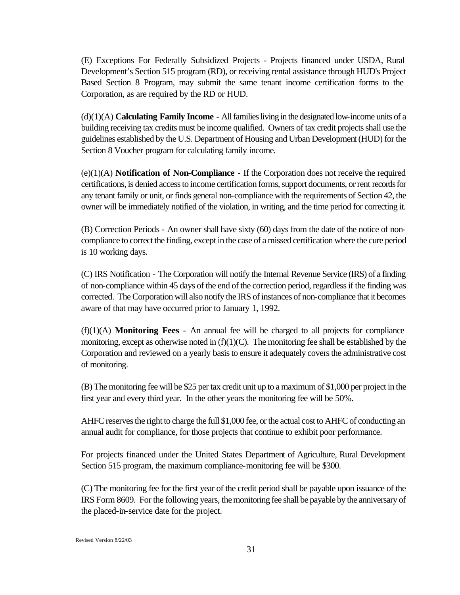(E) Exceptions For Federally Subsidized Projects *-* Projects financed under USDA, Rural Development's Section 515 program (RD), or receiving rental assistance through HUD's Project Based Section 8 Program, may submit the same tenant income certification forms to the Corporation, as are required by the RD or HUD.

(d)(1)(A) **Calculating Family Income** - All families living in the designated low-income units of a building receiving tax credits must be income qualified. Owners of tax credit projects shall use the guidelines established by the U.S. Department of Housing and Urban Development (HUD) for the Section 8 Voucher program for calculating family income.

(e)(1)(A) **Notification of Non-Compliance** - If the Corporation does not receive the required certifications, is denied access to income certification forms, support documents, or rent records for any tenant family or unit, or finds general non-compliance with the requirements of Section 42, the owner will be immediately notified of the violation, in writing, and the time period for correcting it.

(B) Correction Periods - An owner shall have sixty (60) days from the date of the notice of noncompliance to correct the finding, except in the case of a missed certification where the cure period is 10 working days.

(C) IRS Notification - The Corporation will notify the Internal Revenue Service (IRS) of a finding of non-compliance within 45 days of the end of the correction period, regardless if the finding was corrected. The Corporation will also notify the IRS of instances of non-compliance that it becomes aware of that may have occurred prior to January 1, 1992.

 $(f)(1)(A)$  **Monitoring Fees** - An annual fee will be charged to all projects for compliance monitoring, except as otherwise noted in  $(f)(1)(C)$ . The monitoring fee shall be established by the Corporation and reviewed on a yearly basis to ensure it adequately covers the administrative cost of monitoring.

(B) The monitoring fee will be \$25 per tax credit unit up to a maximum of \$1,000 per project in the first year and every third year. In the other years the monitoring fee will be 50%.

AHFC reserves the right to charge the full \$1,000 fee, or the actual cost to AHFC of conducting an annual audit for compliance, for those projects that continue to exhibit poor performance.

For projects financed under the United States Department of Agriculture, Rural Development Section 515 program, the maximum compliance-monitoring fee will be \$300.

(C) The monitoring fee for the first year of the credit period shall be payable upon issuance of the IRS Form 8609. For the following years, the monitoring fee shall be payable by the anniversary of the placed-in-service date for the project.